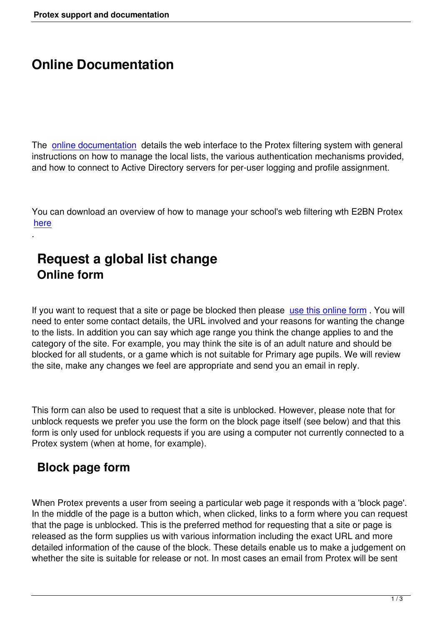## **Online Documentation**

The online documentation details the web interface to the Protex filtering system with general instructions on how to manage the local lists, the various authentication mechanisms provided, and how to connect to Active Directory servers for per-user logging and profile assignment.

You can download an overview of how to manage your school's web filtering wth E2BN Protex here

#### **[Re](../pdfs/UnderstandingProtex_v4.1.pdf)quest a global list change Online form**

If you want to request that a site or page be blocked then please use this online form. You will need to enter some contact details, the URL involved and your reasons for wanting the change to the lists. In addition you can say which age range you think the change applies to and the category of the site. For example, you may think the site is of an [adult nature and sho](index.php?option=com_wrapper&view=wrapper&Itemid=30)uld be blocked for all students, or a game which is not suitable for Primary age pupils. We will review the site, make any changes we feel are appropriate and send you an email in reply.

This form can also be used to request that a site is unblocked. However, please note that for unblock requests we prefer you use the form on the block page itself (see below) and that this form is only used for unblock requests if you are using a computer not currently connected to a Protex system (when at home, for example).

#### **Block page form**

.

When Protex prevents a user from seeing a particular web page it responds with a 'block page'. In the middle of the page is a button which, when clicked, links to a form where you can request that the page is unblocked. This is the preferred method for requesting that a site or page is released as the form supplies us with various information including the exact URL and more detailed information of the cause of the block. These details enable us to make a judgement on whether the site is suitable for release or not. In most cases an email from Protex will be sent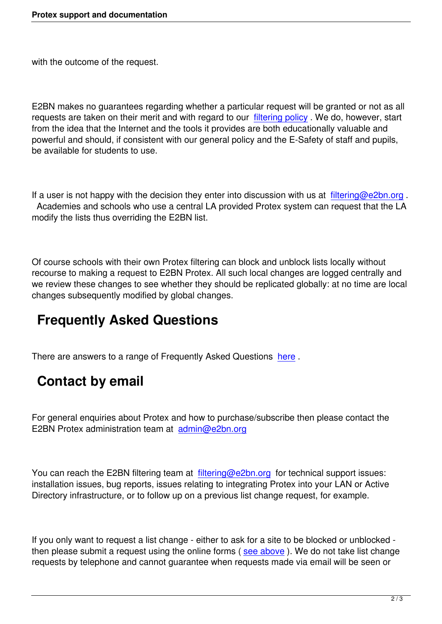with the outcome of the request.

E2BN makes no guarantees regarding whether a particular request will be granted or not as all requests are taken on their merit and with regard to our filtering policy . We do, however, start from the idea that the Internet and the tools it provides are both educationally valuable and powerful and should, if consistent with our general policy and the E-Safety of staff and pupils, be available for students to use.

If a user is not happy with the decision they enter into discussion with us at filtering@e2bn.org. Academies and schools who use a central LA provided Protex system can request that the LA modify the lists thus overriding the E2BN list.

Of course schools with their own Protex filtering can block and unblock lists locally without recourse to making a request to E2BN Protex. All such local changes are logged centrally and we review these changes to see whether they should be replicated globally: at no time are local changes subsequently modified by global changes.

## **Frequently Asked Questions**

There are answers to a range of Frequently Asked Questions here .

### **Contact by email**

For general enquiries about Protex and how to purchase/subscribe then please contact the E2BN Protex administration team at admin@e2bn.org

You can reach the E2BN filtering tea[m at filtering@e2b](mailto:admin.e2bn.org)n.org for technical support issues: installation issues, bug reports, issues relating to integrating Protex into your LAN or Active Directory infrastructure, or to follow up on a previous list change request, for example.

If you only want to request a list change - either to ask for a site to be blocked or unblocked then please submit a request using the online forms (see above). We do not take list change requests by telephone and cannot guarantee when requests made via email will be seen or